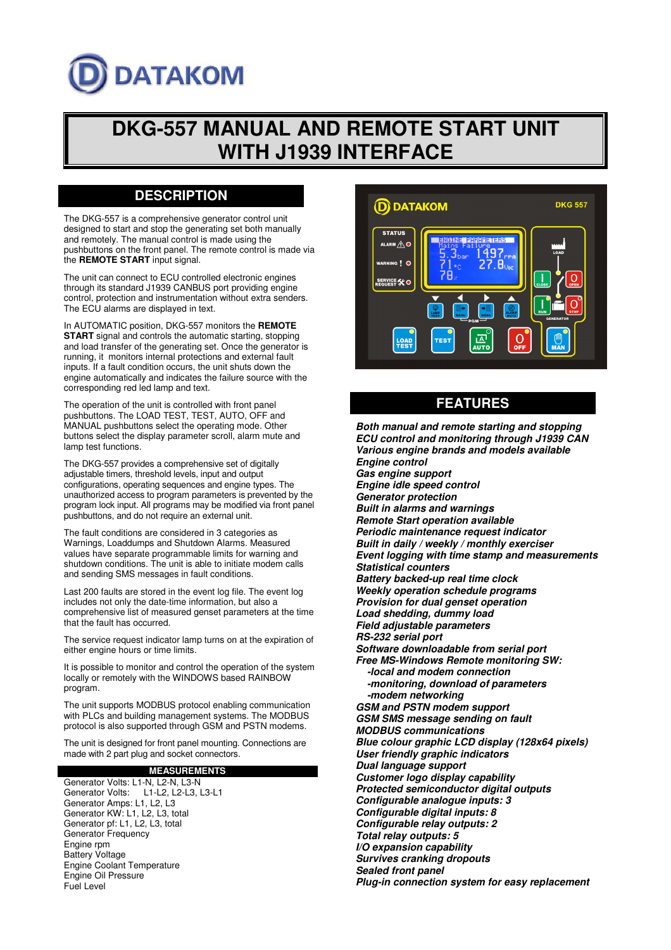# **DATAKOM**

## **DKG-557 MANUAL AND REMOTE START UNIT WITH J1939 INTERFACE**

## **DESCRIPTION**

The DKG-557 is a comprehensive generator control unit designed to start and stop the generating set both manually and remotely. The manual control is made using the pushbuttons on the front panel. The remote control is made via the **REMOTE START** input signal.

The unit can connect to ECU controlled electronic engines through its standard J1939 CANBUS port providing engine control, protection and instrumentation without extra senders. The ECU alarms are displayed in text.

In AUTOMATIC position, DKG-557 monitors the **REMOTE START** signal and controls the automatic starting, stopping and load transfer of the generating set. Once the generator is running, it monitors internal protections and external fault inputs. If a fault condition occurs, the unit shuts down the engine automatically and indicates the failure source with the corresponding red led lamp and text.

The operation of the unit is controlled with front panel pushbuttons. The LOAD TEST, TEST, AUTO, OFF and MANUAL pushbuttons select the operating mode. Other buttons select the display parameter scroll, alarm mute and lamp test functions.

The DKG-557 provides a comprehensive set of digitally adjustable timers, threshold levels, input and output configurations, operating sequences and engine types. The unauthorized access to program parameters is prevented by the program lock input. All programs may be modified via front panel pushbuttons, and do not require an external unit.

The fault conditions are considered in 3 categories as Warnings, Loaddumps and Shutdown Alarms. Measured values have separate programmable limits for warning and shutdown conditions. The unit is able to initiate modem calls and sending SMS messages in fault conditions.

Last 200 faults are stored in the event log file. The event log includes not only the date-time information, but also a comprehensive list of measured genset parameters at the time that the fault has occurred.

The service request indicator lamp turns on at the expiration of either engine hours or time limits.

It is possible to monitor and control the operation of the system locally or remotely with the WINDOWS based RAINBOW program.

The unit supports MODBUS protocol enabling communication with PLCs and building management systems. The MODBUS protocol is also supported through GSM and PSTN modems.

The unit is designed for front panel mounting. Connections are made with 2 part plug and socket connectors.

**MEASUREMENTS** Generator Volts: L1-N, L2-N, L3-N Generator Volts: L1-L2, L2-L3, L3-L1 Generator Amps: L1, L2, L3 Generator KW: L1, L2, L3, total Generator pf: L1, L2, L3, total Generator Frequency Engine rpm Battery Voltage Engine Coolant Temperature Engine Oil Pressure Fuel Level



## **FEATURES**

**Both manual and remote starting and stopping ECU control and monitoring through J1939 CAN Various engine brands and models available Engine control Gas engine support Engine idle speed control Generator protection Built in alarms and warnings Remote Start operation available Periodic maintenance request indicator Built in daily / weekly / monthly exerciser Event logging with time stamp and measurements Statistical counters Battery backed-up real time clock Weekly operation schedule programs Provision for dual genset operation Load shedding, dummy load Field adjustable parameters RS-232 serial port Software downloadable from serial port Free MS-Windows Remote monitoring SW: -local and modem connection -monitoring, download of parameters -modem networking GSM and PSTN modem support GSM SMS message sending on fault MODBUS communications Blue colour graphic LCD display (128x64 pixels) User friendly graphic indicators Dual language support Customer logo display capability Protected semiconductor digital outputs Configurable analogue inputs: 3 Configurable digital inputs: 8 Configurable relay outputs: 2 Total relay outputs: 5 I/O expansion capability Survives cranking dropouts Sealed front panel Plug-in connection system for easy replacement**